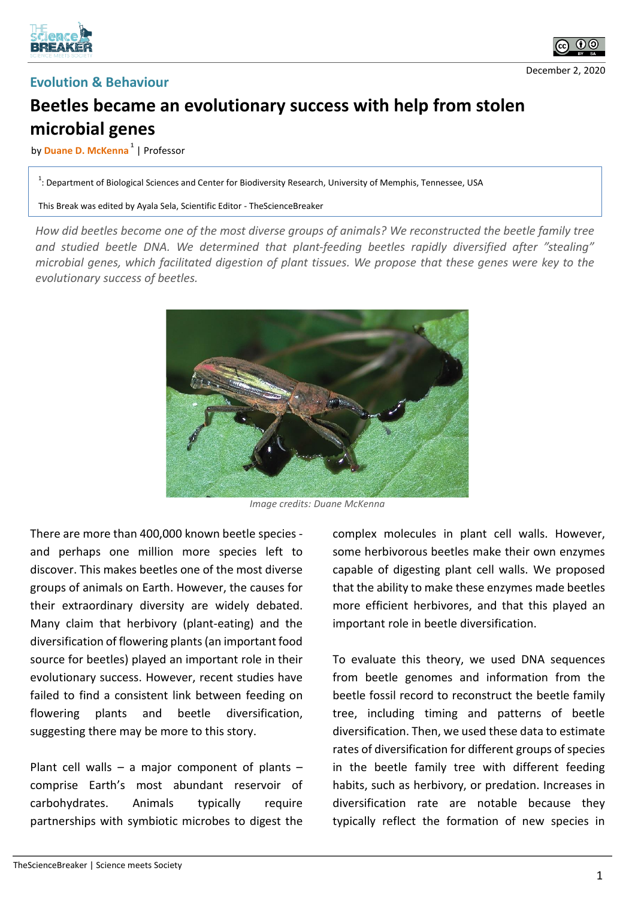



## **Evolution & Behaviour**

## **Beetles became an evolutionary success with help from stolen microbial genes**

## by **Duane D. McKenna 1** | Professor

 $1$ : Department of Biological Sciences and Center for Biodiversity Research, University of Memphis, Tennessee, USA

This Break was edited by Ayala Sela, Scientific Editor - TheScienceBreaker

*How did beetles become one of the most diverse groups of animals? We reconstructed the beetle family tree and studied beetle DNA. We determined that plant-feeding beetles rapidly diversified after "stealing" microbial genes, which facilitated digestion of plant tissues. We propose that these genes were key to the evolutionary success of beetles.*



*Image credits: Duane McKenna*

There are more than 400,000 known beetle species and perhaps one million more species left to discover. This makes beetles one of the most diverse groups of animals on Earth. However, the causes for their extraordinary diversity are widely debated. Many claim that herbivory (plant-eating) and the diversification of flowering plants(an important food source for beetles) played an important role in their evolutionary success. However, recent studies have failed to find a consistent link between feeding on flowering plants and beetle diversification, suggesting there may be more to this story.

Plant cell walls – a major component of plants – comprise Earth's most abundant reservoir of carbohydrates. Animals typically require partnerships with symbiotic microbes to digest the complex molecules in plant cell walls. However, some herbivorous beetles make their own enzymes capable of digesting plant cell walls. We proposed that the ability to make these enzymes made beetles more efficient herbivores, and that this played an important role in beetle diversification.

To evaluate this theory, we used DNA sequences from beetle genomes and information from the beetle fossil record to reconstruct the beetle family tree, including timing and patterns of beetle diversification. Then, we used these data to estimate rates of diversification for different groups of species in the beetle family tree with different feeding habits, such as herbivory, or predation. Increases in diversification rate are notable because they typically reflect the formation of new species in